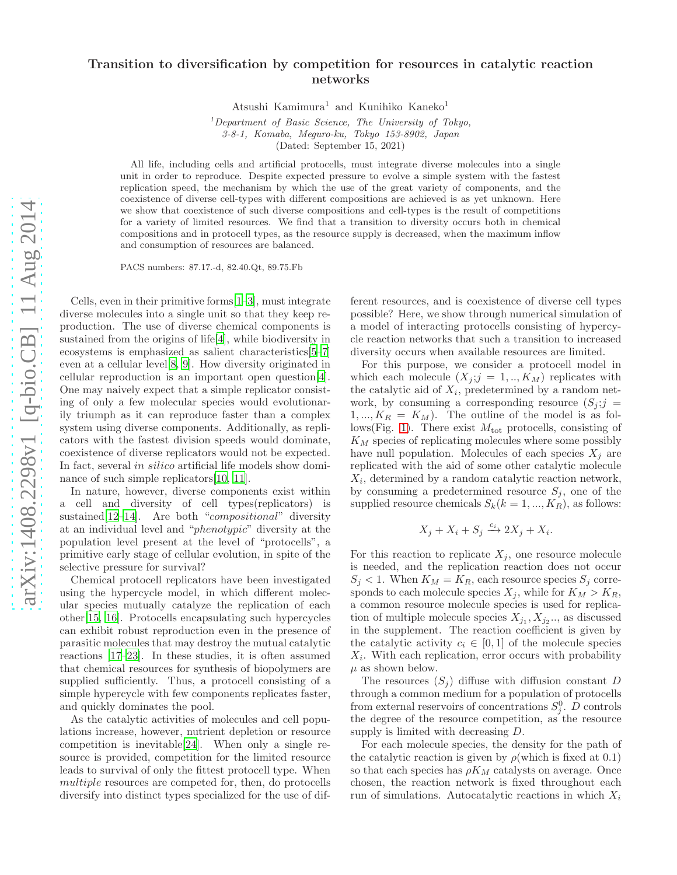# Transition to diversification by competition for resources in catalytic reaction networks

Atsushi Kamimura<sup>1</sup> and Kunihiko Kaneko<sup>1</sup>

 $1$ Department of Basic Science, The University of Tokyo, 3-8-1, Komaba, Meguro-ku, Tokyo 153-8902, Japan (Dated: September 15, 2021)

All life, including cells and artificial protocells, must integrate diverse molecules into a single unit in order to reproduce. Despite expected pressure to evolve a simple system with the fastest replication speed, the mechanism by which the use of the great variety of components, and the coexistence of diverse cell-types with different compositions are achieved is as yet unknown. Here we show that coexistence of such diverse compositions and cell-types is the result of competitions for a variety of limited resources. We find that a transition to diversity occurs both in chemical compositions and in protocell types, as the resource supply is decreased, when the maximum inflow and consumption of resources are balanced.

PACS numbers: 87.17.-d, 82.40.Qt, 89.75.Fb

Cells, even in their primitive forms[\[1](#page-2-0)[–3\]](#page-2-1), must integrate diverse molecules into a single unit so that they keep reproduction. The use of diverse chemical components is sustained from the origins of life[\[4](#page-2-2)], while biodiversity in ecosystems is emphasized as salient characteristics[\[5](#page-2-3)[–7](#page-2-4)] even at a cellular level[\[8](#page-2-5), [9](#page-2-6)]. How diversity originated in cellular reproduction is an important open question[\[4\]](#page-2-2). One may naively expect that a simple replicator consisting of only a few molecular species would evolutionarily triumph as it can reproduce faster than a complex system using diverse components. Additionally, as replicators with the fastest division speeds would dominate, coexistence of diverse replicators would not be expected. In fact, several in silico artificial life models show dominance of such simple replicators[\[10,](#page-2-7) [11\]](#page-2-8).

In nature, however, diverse components exist within a cell and diversity of cell types(replicators) is sustained[\[12](#page-2-9)[–14](#page-2-10)]. Are both "compositional" diversity at an individual level and "phenotypic" diversity at the population level present at the level of "protocells", a primitive early stage of cellular evolution, in spite of the selective pressure for survival?

Chemical protocell replicators have been investigated using the hypercycle model, in which different molecular species mutually catalyze the replication of each other[\[15,](#page-2-11) [16\]](#page-2-12). Protocells encapsulating such hypercycles can exhibit robust reproduction even in the presence of parasitic molecules that may destroy the mutual catalytic reactions [\[17](#page-2-13)[–23\]](#page-3-0). In these studies, it is often assumed that chemical resources for synthesis of biopolymers are supplied sufficiently. Thus, a protocell consisting of a simple hypercycle with few components replicates faster, and quickly dominates the pool.

As the catalytic activities of molecules and cell populations increase, however, nutrient depletion or resource competition is inevitable[\[24\]](#page-3-1). When only a single resource is provided, competition for the limited resource leads to survival of only the fittest protocell type. When multiple resources are competed for, then, do protocells diversify into distinct types specialized for the use of different resources, and is coexistence of diverse cell types possible? Here, we show through numerical simulation of a model of interacting protocells consisting of hypercycle reaction networks that such a transition to increased diversity occurs when available resources are limited.

For this purpose, we consider a protocell model in which each molecule  $(X_j; j = 1, \ldots, K_M)$  replicates with the catalytic aid of  $X_i$ , predetermined by a random network, by consuming a corresponding resource  $(S_j; j =$  $1, ..., K_R = K_M$ ). The outline of the model is as fol-lows(Fig. [1\)](#page-7-0). There exist  $M_{\text{tot}}$  protocells, consisting of  $K_M$  species of replicating molecules where some possibly have null population. Molecules of each species  $X_i$  are replicated with the aid of some other catalytic molecule  $X_i$ , determined by a random catalytic reaction network, by consuming a predetermined resource  $S_j$ , one of the supplied resource chemicals  $S_k(k = 1, ..., K_R)$ , as follows:

$$
X_j + X_i + S_j \xrightarrow{c_i} 2X_j + X_i.
$$

For this reaction to replicate  $X_j$ , one resource molecule is needed, and the replication reaction does not occur  $S_j < 1$ . When  $K_M = K_R$ , each resource species  $S_j$  corresponds to each molecule species  $X_j$ , while for  $K_M > K_R$ , a common resource molecule species is used for replication of multiple molecule species  $X_{j_1}, X_{j_2}...$ , as discussed in the supplement. The reaction coefficient is given by the catalytic activity  $c_i \in [0,1]$  of the molecule species  $X_i$ . With each replication, error occurs with probability  $\mu$  as shown below.

The resources  $(S_i)$  diffuse with diffusion constant D through a common medium for a population of protocells from external reservoirs of concentrations  $S_j^0$ . D controls the degree of the resource competition, as the resource supply is limited with decreasing D.

For each molecule species, the density for the path of the catalytic reaction is given by  $\rho$ (which is fixed at 0.1) so that each species has  $\rho K_M$  catalysts on average. Once chosen, the reaction network is fixed throughout each run of simulations. Autocatalytic reactions in which  $X_i$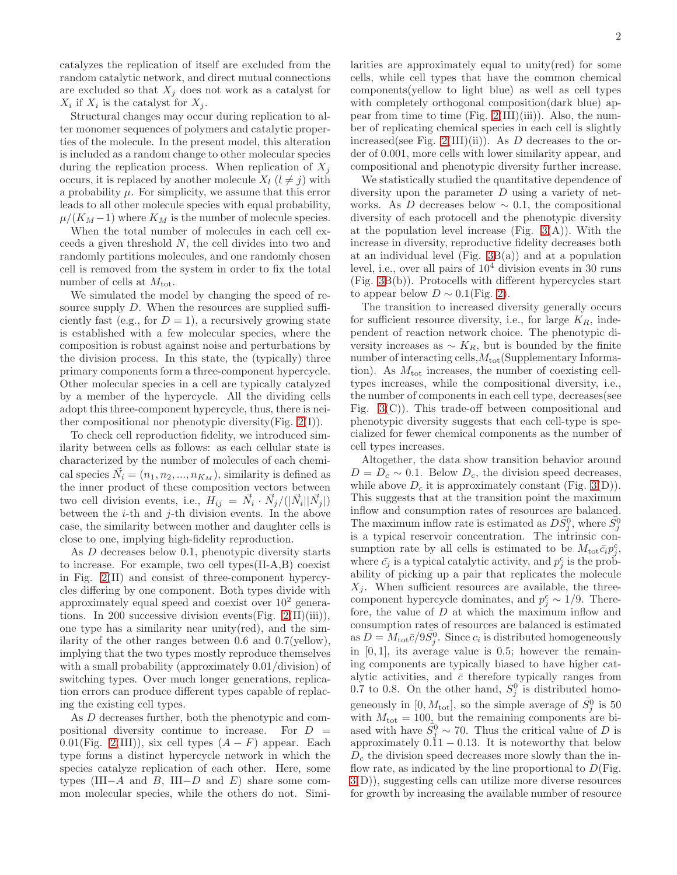catalyzes the replication of itself are excluded from the random catalytic network, and direct mutual connections are excluded so that  $X_j$  does not work as a catalyst for  $X_i$  if  $X_i$  is the catalyst for  $X_j$ .

Structural changes may occur during replication to alter monomer sequences of polymers and catalytic properties of the molecule. In the present model, this alteration is included as a random change to other molecular species during the replication process. When replication of  $X_i$ occurs, it is replaced by another molecule  $X_l$   $(l \neq j)$  with a probability  $\mu$ . For simplicity, we assume that this error leads to all other molecule species with equal probability,  $\mu/(K_M-1)$  where  $K_M$  is the number of molecule species.

When the total number of molecules in each cell exceeds a given threshold N, the cell divides into two and randomly partitions molecules, and one randomly chosen cell is removed from the system in order to fix the total number of cells at  $M_{\text{tot}}$ .

We simulated the model by changing the speed of resource supply D. When the resources are supplied sufficiently fast (e.g., for  $D = 1$ ), a recursively growing state is established with a few molecular species, where the composition is robust against noise and perturbations by the division process. In this state, the (typically) three primary components form a three-component hypercycle. Other molecular species in a cell are typically catalyzed by a member of the hypercycle. All the dividing cells adopt this three-component hypercycle, thus, there is neither compositional nor phenotypic diversity(Fig.  $2(I)$ ).

To check cell reproduction fidelity, we introduced similarity between cells as follows: as each cellular state is characterized by the number of molecules of each chemical species  $\vec{N}_i = (n_1, n_2, ..., n_{K_M})$ , similarity is defined as the inner product of these composition vectors between two cell division events, i.e.,  $H_{ij} = \vec{N}_i \cdot \vec{N}_j/(|\vec{N}_i||\vec{N}_j|)$ between the  $i$ -th and  $j$ -th division events. In the above case, the similarity between mother and daughter cells is close to one, implying high-fidelity reproduction.

As D decreases below 0.1, phenotypic diversity starts to increase. For example, two cell types(II-A,B) coexist in Fig. [2\(](#page-11-0)II) and consist of three-component hypercycles differing by one component. Both types divide with approximately equal speed and coexist over  $10^2$  generations. In 200 successive division events  $(Fig. 2(II)(iii))$  $(Fig. 2(II)(iii))$  $(Fig. 2(II)(iii))$ , one type has a similarity near unity(red), and the similarity of the other ranges between 0.6 and 0.7(yellow), implying that the two types mostly reproduce themselves with a small probability (approximately 0.01/division) of switching types. Over much longer generations, replication errors can produce different types capable of replacing the existing cell types.

As D decreases further, both the phenotypic and compositional diversity continue to increase. For  $D =$ 0.01(Fig. [2\(](#page-11-0)III)), six cell types  $(A - F)$  appear. Each type forms a distinct hypercycle network in which the species catalyze replication of each other. Here, some types (III−A and B, III−D and E) share some common molecular species, while the others do not. Similarities are approximately equal to unity(red) for some cells, while cell types that have the common chemical components(yellow to light blue) as well as cell types with completely orthogonal composition(dark blue) appear from time to time (Fig.  $2(III)(iii)$ ). Also, the number of replicating chemical species in each cell is slightly increased(see Fig. [2\(](#page-11-0)III)(ii)). As  $D$  decreases to the order of 0.001, more cells with lower similarity appear, and compositional and phenotypic diversity further increase.

We statistically studied the quantitative dependence of diversity upon the parameter  $D$  using a variety of networks. As D decreases below  $\sim$  0.1, the compositional diversity of each protocell and the phenotypic diversity at the population level increase (Fig.  $3(A)$ ). With the increase in diversity, reproductive fidelity decreases both at an individual level (Fig.  $3B(a)$ ) and at a population level, i.e., over all pairs of  $10<sup>4</sup>$  division events in 30 runs (Fig. [3B](#page-11-1)(b)). Protocells with different hypercycles start to appear below  $D \sim 0.1$ (Fig. [2\)](#page-11-0).

The transition to increased diversity generally occurs for sufficient resource diversity, i.e., for large  $K_R$ , independent of reaction network choice. The phenotypic diversity increases as  $\sim K_R$ , but is bounded by the finite number of interacting cells,  $M_{\text{tot}}$ (Supplementary Information). As  $M_{\text{tot}}$  increases, the number of coexisting celltypes increases, while the compositional diversity, i.e., the number of components in each cell type, decreases(see Fig. [3\(](#page-11-1)C)). This trade-off between compositional and phenotypic diversity suggests that each cell-type is specialized for fewer chemical components as the number of cell types increases.

Altogether, the data show transition behavior around  $D = D_c \sim 0.1$ . Below  $D_c$ , the division speed decreases, while above  $D_c$  it is approximately constant (Fig. [3\(](#page-11-1)D)). This suggests that at the transition point the maximum inflow and consumption rates of resources are balanced. The maximum inflow rate is estimated as  $D\bar{S}_{j}^{0}$ , where  $\bar{S}_{j}^{0}$ is a typical reservoir concentration. The intrinsic consumption rate by all cells is estimated to be  $M_{\text{tot}}\bar{c_i}p_j^c$ , where  $\bar{c}_j$  is a typical catalytic activity, and  $p_j^c$  is the probability of picking up a pair that replicates the molecule  $X_i$ . When sufficient resources are available, the threecomponent hypercycle dominates, and  $p_j^c \sim 1/9$ . Therefore, the value of D at which the maximum inflow and consumption rates of resources are balanced is estimated as  $D = M_{\text{tot}} \bar{c}/9 \bar{S}_{j}^{0}$ . Since  $c_{i}$  is distributed homogeneously in  $[0, 1]$ , its average value is 0.5; however the remaining components are typically biased to have higher catalytic activities, and  $\bar{c}$  therefore typically ranges from 0.7 to 0.8. On the other hand,  $S_j^0$  is distributed homogeneously in  $[0, M_{\text{tot}}]$ , so the simple average of  $\overline{S}_j^0$  is 50 with  $M_{\text{tot}} = 100$ , but the remaining components are biased with have  $S_j^0 \sim 70$ . Thus the critical value of D is approximately  $0.11 - 0.13$ . It is noteworthy that below  $D<sub>c</sub>$  the division speed decreases more slowly than the inflow rate, as indicated by the line proportional to  $D(Fig)$ . [3\(](#page-11-1)D)), suggesting cells can utilize more diverse resources for growth by increasing the available number of resource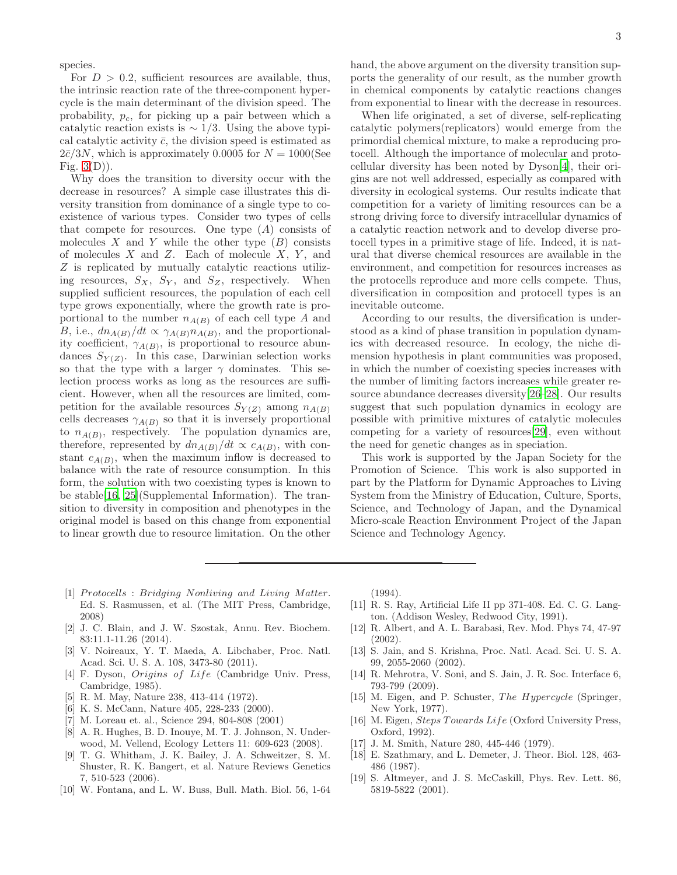species.

For  $D > 0.2$ , sufficient resources are available, thus, the intrinsic reaction rate of the three-component hypercycle is the main determinant of the division speed. The probability,  $p_c$ , for picking up a pair between which a catalytic reaction exists is  $\sim 1/3$ . Using the above typical catalytic activity  $\bar{c}$ , the division speed is estimated as  $2\bar{c}/3N$ , which is approximately 0.0005 for  $N = 1000$ (See Fig.  $3(D)$ ).

Why does the transition to diversity occur with the decrease in resources? A simple case illustrates this diversity transition from dominance of a single type to coexistence of various types. Consider two types of cells that compete for resources. One type  $(A)$  consists of molecules  $X$  and  $Y$  while the other type  $(B)$  consists of molecules  $X$  and  $Z$ . Each of molecule  $X$ ,  $Y$ , and Z is replicated by mutually catalytic reactions utilizing resources,  $S_X$ ,  $S_Y$ , and  $S_Z$ , respectively. When supplied sufficient resources, the population of each cell type grows exponentially, where the growth rate is proportional to the number  $n_{A(B)}$  of each cell type A and B, i.e.,  $dn_{A(B)}/dt \propto \gamma_{A(B)} n_{A(B)}$ , and the proportionality coefficient,  $\gamma_{A(B)}$ , is proportional to resource abundances  $S_{Y(Z)}$ . In this case, Darwinian selection works so that the type with a larger  $\gamma$  dominates. This selection process works as long as the resources are sufficient. However, when all the resources are limited, competition for the available resources  $S_{Y(Z)}$  among  $n_{A(B)}$ cells decreases  $\gamma_{A(B)}$  so that it is inversely proportional to  $n_{A(B)}$ , respectively. The population dynamics are, therefore, represented by  $dn_{A(B)}/dt \propto c_{A(B)}$ , with constant  $c_{A(B)}$ , when the maximum inflow is decreased to balance with the rate of resource consumption. In this form, the solution with two coexisting types is known to be stable[\[16](#page-2-12), [25\]](#page-3-2)(Supplemental Information). The transition to diversity in composition and phenotypes in the original model is based on this change from exponential to linear growth due to resource limitation. On the other

hand, the above argument on the diversity transition supports the generality of our result, as the number growth in chemical components by catalytic reactions changes from exponential to linear with the decrease in resources.

When life originated, a set of diverse, self-replicating catalytic polymers(replicators) would emerge from the primordial chemical mixture, to make a reproducing protocell. Although the importance of molecular and protocellular diversity has been noted by Dyson[\[4](#page-2-2)], their origins are not well addressed, especially as compared with diversity in ecological systems. Our results indicate that competition for a variety of limiting resources can be a strong driving force to diversify intracellular dynamics of a catalytic reaction network and to develop diverse protocell types in a primitive stage of life. Indeed, it is natural that diverse chemical resources are available in the environment, and competition for resources increases as the protocells reproduce and more cells compete. Thus, diversification in composition and protocell types is an inevitable outcome.

According to our results, the diversification is understood as a kind of phase transition in population dynamics with decreased resource. In ecology, the niche dimension hypothesis in plant communities was proposed, in which the number of coexisting species increases with the number of limiting factors increases while greater resource abundance decreases diversity[\[26](#page-3-3)[–28](#page-3-4)]. Our results suggest that such population dynamics in ecology are possible with primitive mixtures of catalytic molecules competing for a variety of resources[\[29\]](#page-3-5), even without the need for genetic changes as in speciation.

This work is supported by the Japan Society for the Promotion of Science. This work is also supported in part by the Platform for Dynamic Approaches to Living System from the Ministry of Education, Culture, Sports, Science, and Technology of Japan, and the Dynamical Micro-scale Reaction Environment Project of the Japan Science and Technology Agency.

- <span id="page-2-0"></span>[1] Protocells : Bridging Nonliving and Living Matter. Ed. S. Rasmussen, et al. (The MIT Press, Cambridge, 2008)
- [2] J. C. Blain, and J. W. Szostak, Annu. Rev. Biochem. 83:11.1-11.26 (2014).
- <span id="page-2-1"></span>[3] V. Noireaux, Y. T. Maeda, A. Libchaber, Proc. Natl. Acad. Sci. U. S. A. 108, 3473-80 (2011).
- <span id="page-2-2"></span>[4] F. Dyson, Origins of Life (Cambridge Univ. Press, Cambridge, 1985).
- <span id="page-2-3"></span>[5] R. M. May, Nature 238, 413-414 (1972).
- [6] K. S. McCann, Nature 405, 228-233 (2000).
- <span id="page-2-4"></span>[7] M. Loreau et. al., Science 294, 804-808 (2001)
- <span id="page-2-5"></span>[8] A. R. Hughes, B. D. Inouye, M. T. J. Johnson, N. Underwood, M. Vellend, Ecology Letters 11: 609-623 (2008).
- <span id="page-2-6"></span>[9] T. G. Whitham, J. K. Bailey, J. A. Schweitzer, S. M. Shuster, R. K. Bangert, et al. Nature Reviews Genetics 7, 510-523 (2006).
- <span id="page-2-7"></span>[10] W. Fontana, and L. W. Buss, Bull. Math. Biol. 56, 1-64

 $(1994)$ .

- <span id="page-2-8"></span>[11] R. S. Ray, Artificial Life II pp 371-408. Ed. C. G. Langton. (Addison Wesley, Redwood City, 1991).
- <span id="page-2-9"></span>[12] R. Albert, and A. L. Barabasi, Rev. Mod. Phys 74, 47-97 (2002).
- [13] S. Jain, and S. Krishna, Proc. Natl. Acad. Sci. U. S. A. 99, 2055-2060 (2002).
- <span id="page-2-10"></span>[14] R. Mehrotra, V. Soni, and S. Jain, J. R. Soc. Interface 6, 793-799 (2009).
- <span id="page-2-11"></span>[15] M. Eigen, and P. Schuster, The Hypercycle (Springer, New York, 1977).
- <span id="page-2-12"></span>[16] M. Eigen, *Steps Towards Life* (Oxford University Press, Oxford, 1992).
- <span id="page-2-13"></span>[17] J. M. Smith, Nature 280, 445-446 (1979).
- [18] E. Szathmary, and L. Demeter, J. Theor. Biol. 128, 463- 486 (1987).
- [19] S. Altmeyer, and J. S. McCaskill, Phys. Rev. Lett. 86, 5819-5822 (2001).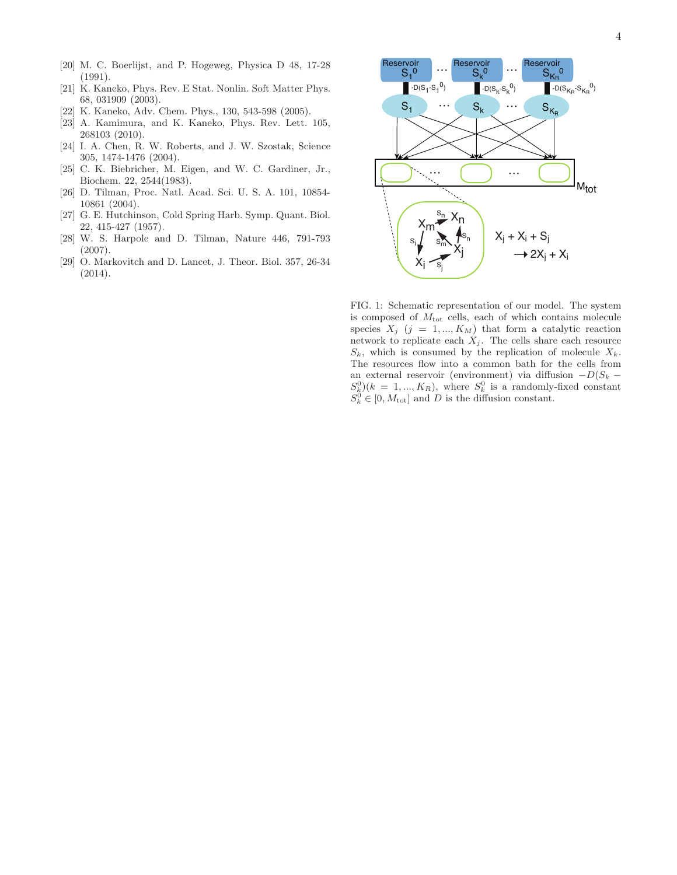- [20] M. C. Boerlijst, and P. Hogeweg, Physica D 48, 17-28 (1991).
- [21] K. Kaneko, Phys. Rev. E Stat. Nonlin. Soft Matter Phys. 68, 031909 (2003).
- [22] K. Kaneko, Adv. Chem. Phys., 130, 543-598 (2005).
- <span id="page-3-0"></span>[23] A. Kamimura, and K. Kaneko, Phys. Rev. Lett. 105, 268103 (2010).
- <span id="page-3-1"></span>[24] I. A. Chen, R. W. Roberts, and J. W. Szostak, Science 305, 1474-1476 (2004).
- <span id="page-3-2"></span>[25] C. K. Biebricher, M. Eigen, and W. C. Gardiner, Jr., Biochem. 22, 2544(1983).
- <span id="page-3-3"></span>[26] D. Tilman, Proc. Natl. Acad. Sci. U. S. A. 101, 10854- 10861 (2004).
- [27] G. E. Hutchinson, Cold Spring Harb. Symp. Quant. Biol. 22, 415-427 (1957).
- <span id="page-3-4"></span>[28] W. S. Harpole and D. Tilman, Nature 446, 791-793 (2007).
- <span id="page-3-5"></span>[29] O. Markovitch and D. Lancet, J. Theor. Biol. 357, 26-34 (2014).



FIG. 1: Schematic representation of our model. The system is composed of  $M_{\text{tot}}$  cells, each of which contains molecule species  $X_j$  (j = 1, ...,  $K_M$ ) that form a catalytic reaction network to replicate each  $X_j$ . The cells share each resource  $S_k$ , which is consumed by the replication of molecule  $X_k$ . The resources flow into a common bath for the cells from an external reservoir (environment) via diffusion  $-D(S_k S_k^0$   $(k = 1, ..., K_R)$ , where  $S_k^0$  is a randomly-fixed constant  $S_k^0 \in [0, M_{\text{tot}}]$  and D is the diffusion constant.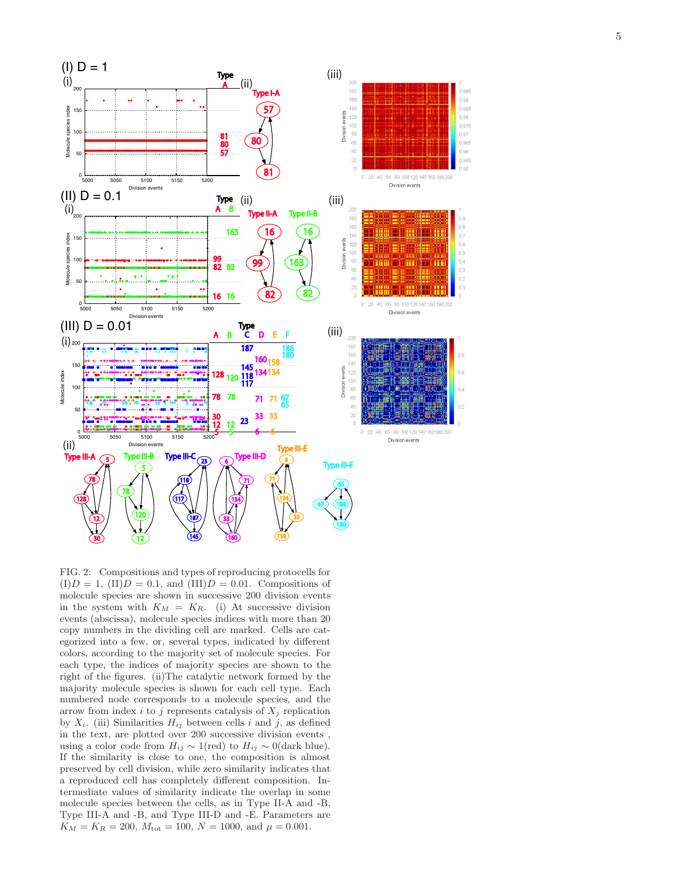

FIG. 2: Compositions and types of reproducing protocells fo r  $(I)D = 1$ ,  $(II)D = 0.1$ , and  $(III)D = 0.01$ . Compositions of molecule species are shown in successive 200 division event s in the system with  $K_M = K_R$ . (i) At successive division events (abscissa), molecule species indices with more than 20 copy numbers in the dividing cell are marked. Cells are categorized into a few, or, several types, indicated by different colors, according to the majority set of molecule species. For each type, the indices of majority species are shown to the right of the figures. (ii)The catalytic network formed by the majority molecule species is shown for each cell type. Each numbered node corresponds to a molecule species, and the arrow from index i to j represents catalysis of  $X_j$  replication by  $X_i$ . (iii) Similarities  $H_{ij}$  between cells i and j, as defined in the text, are plotted over 200 successive division events , using a color code from  $H_{ij} \sim 1$ (red) to  $H_{ij} \sim 0$ (dark blue). If the similarity is close to one, the composition is almost preserved by cell division, while zero similarity indicates that a reproduced cell has completely different composition. Intermediate values of similarity indicate the overlap in some molecule species between the cells, as in Type II-A and -B, Type III-A and -B, and Type III-D and -E. Parameters are  $K_M = K_R = 200, M_{\text{tot}} = 100, N = 1000, \text{ and } \mu = 0.001.$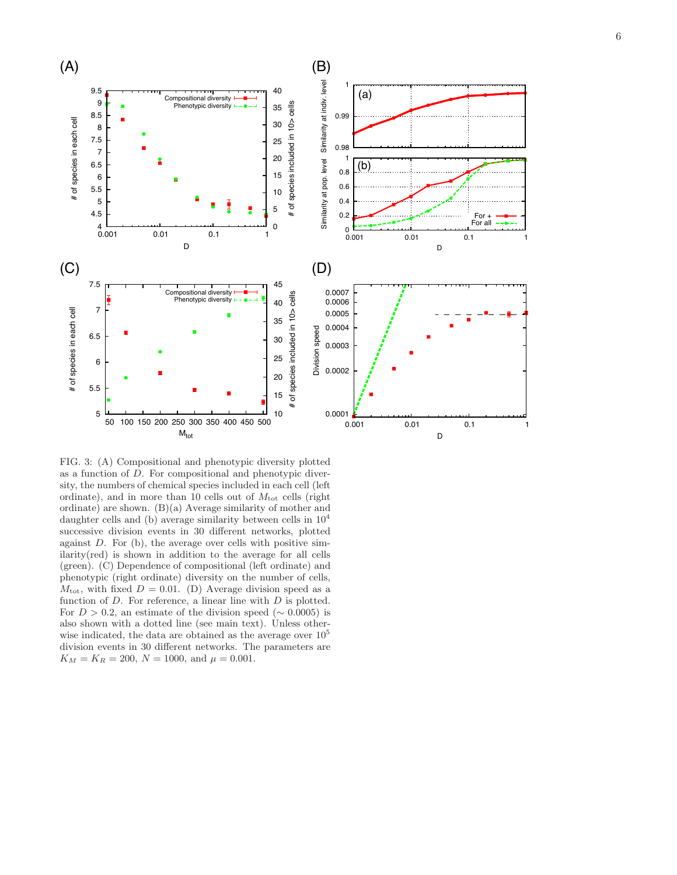

FIG. 3: (A) Compositional and phenotypic diversity plotted as a function of D. For compositional and phenotypic diversity, the numbers of chemical species included in each cell (left ordinate), and in more than 10 cells out of  $M_{\text{tot}}$  cells (right ordinate) are shown. (B)(a) Average similarity of mother an d daughter cells and (b) average similarity between cells in  $10^4$ successive division events in 30 different networks, plotte d against D. For (b), the average over cells with positive similarity(red) is shown in addition to the average for all cells (green). (C) Dependence of compositional (left ordinate) and phenotypic (right ordinate) diversity on the number of cells,  $M_{\text{tot}}$ , with fixed  $D = 0.01$ . (D) Average division speed as a function of D. For reference, a linear line with D is plotted. For  $D > 0.2$ , an estimate of the division speed ( $\sim 0.0005$ ) is also shown with a dotted line (see main text). Unless otherwise indicated, the data are obtained as the average over  $10<sup>5</sup>$ division events in 30 different networks. The parameters are  $K_M = K_R = 200, N = 1000, \text{ and } \mu = 0.001.$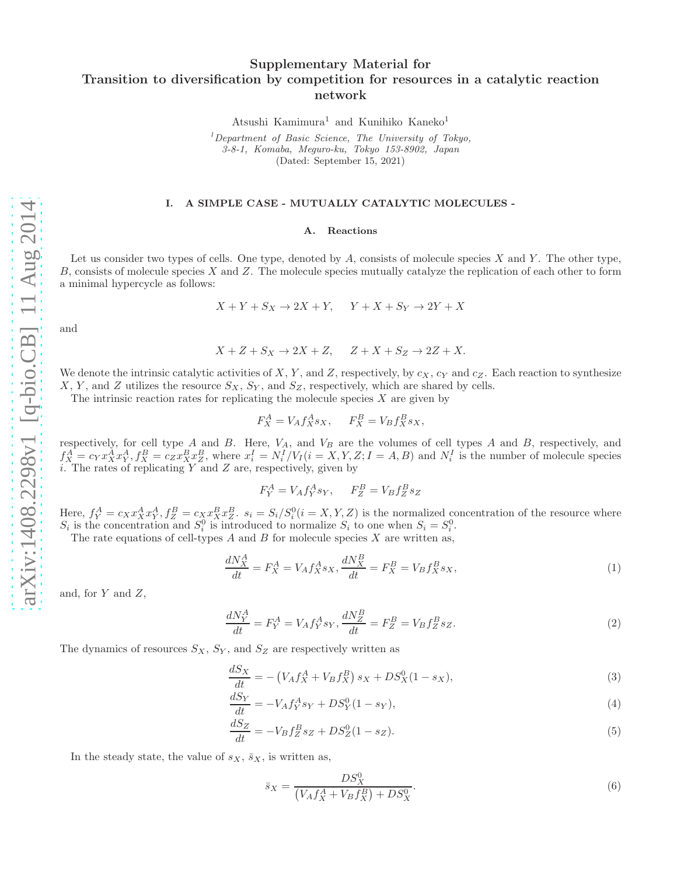# Supplementary Material for Transition to diversification by competition for resources in a catalytic reaction network

Atsushi Kamimura<sup>1</sup> and Kunihiko Kaneko<sup>1</sup>

 $1$ Department of Basic Science, The University of Tokyo, 3-8-1, Komaba, Meguro-ku, Tokyo 153-8902, Japan (Dated: September 15, 2021)

#### I. A SIMPLE CASE - MUTUALLY CATALYTIC MOLECULES -

## A. Reactions

Let us consider two types of cells. One type, denoted by  $A$ , consists of molecule species  $X$  and  $Y$ . The other type, B, consists of molecule species X and Z. The molecule species mutually catalyze the replication of each other to form a minimal hypercycle as follows:

$$
X + Y + S_X \to 2X + Y, \quad Y + X + S_Y \to 2Y + X
$$

and

$$
X + Z + S_X \to 2X + Z, \quad Z + X + S_Z \to 2Z + X.
$$

We denote the intrinsic catalytic activities of X, Y, and Z, respectively, by  $c_X$ ,  $c_Y$  and  $c_Z$ . Each reaction to synthesize X, Y, and Z utilizes the resource  $S_X$ ,  $S_Y$ , and  $S_Z$ , respectively, which are shared by cells.

The intrinsic reaction rates for replicating the molecule species  $X$  are given by

$$
F_X^A = V_A f_X^A s_X, \qquad F_X^B = V_B f_X^B s_X,
$$

respectively, for cell type A and B. Here,  $V_A$ , and  $V_B$  are the volumes of cell types A and B, respectively, and  $f_X^A = c_Y x_X^A x_Y^A, f_X^B = c_Z x_X^B x_Z^B$ , where  $x_i^I = N_i^I/V_I(i = X, Y, Z; I = A, B)$  and  $N_i^I$  is the number of molecule species i. The rates of replicating  $Y$  and  $Z$  are, respectively, given by

$$
F_Y^A = V_A f_Y^A s_Y, \qquad F_Z^B = V_B f_Z^B s_Z
$$

Here,  $f_Y^A = c_X x_X^A x_Y^A$ ,  $f_Z^B = c_X x_X^B x_Z^B$ .  $s_i = S_i/S_i^0$  ( $i = X, Y, Z$ ) is the normalized concentration of the resource where  $S_i$  is the concentration and  $S_i^0$  is introduced to normalize  $S_i$  to one when  $S_i = S_i^0$ .

The rate equations of cell-types  $A$  and  $B$  for molecule species  $X$  are written as,

<span id="page-6-0"></span>
$$
\frac{dN_X^A}{dt} = F_X^A = V_A f_X^A s_X, \frac{dN_X^B}{dt} = F_X^B = V_B f_X^B s_X,\tag{1}
$$

and, for  $Y$  and  $Z$ ,

<span id="page-6-1"></span>
$$
\frac{dN_Y^A}{dt} = F_Y^A = V_A f_Y^A s_Y, \frac{dN_Z^B}{dt} = F_Z^B = V_B f_Z^B s_Z.
$$
\n(2)

The dynamics of resources  $S_X$ ,  $S_Y$ , and  $S_Z$  are respectively written as

$$
\frac{dS_X}{dt} = -\left(V_A f_X^A + V_B f_X^B\right) s_X + D S_X^0 (1 - s_X),\tag{3}
$$

$$
\frac{dS_Y}{dt} = -V_A f_Y^A s_Y + D S_Y^0 (1 - s_Y),\tag{4}
$$

$$
\frac{dS_Z}{dt} = -V_B f_Z^B s_Z + D S_Z^0 (1 - s_Z). \tag{5}
$$

In the steady state, the value of  $s_X$ ,  $\bar{s}_X$ , is written as,

<span id="page-6-3"></span><span id="page-6-2"></span>
$$
\bar{s}_X = \frac{DS_X^0}{\left(V_A f_X^A + V_B f_X^B\right) + DS_X^0}.\tag{6}
$$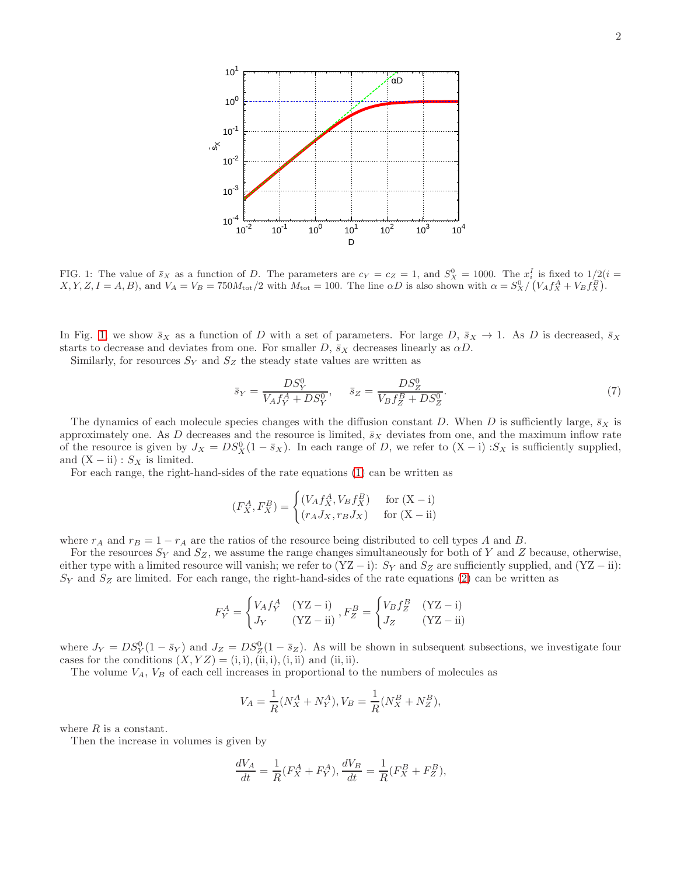

<span id="page-7-0"></span>FIG. 1: The value of  $\bar{s}_X$  as a function of D. The parameters are  $c_Y = c_Z = 1$ , and  $S_X^0 = 1000$ . The  $x_i^I$  is fixed to  $1/2(i = 1)$  $X, Y, Z, I = A, B$ , and  $V_A = V_B = 750M_{\text{tot}}/2$  with  $M_{\text{tot}} = 100$ . The line  $\alpha D$  is also shown with  $\alpha = S_X^0 / (V_A f_A^A + V_B f_X^B)$ .

In Fig. [1,](#page-7-0) we show  $\bar{s}_X$  as a function of D with a set of parameters. For large D,  $\bar{s}_X \to 1$ . As D is decreased,  $\bar{s}_X$ starts to decrease and deviates from one. For smaller D,  $\bar{s}_X$  decreases linearly as  $\alpha D$ .

Similarly, for resources  $S_Y$  and  $S_Z$  the steady state values are written as

$$
\bar{s}_Y = \frac{DS_Y^0}{V_A f_Y^A + DS_Y^0}, \quad \bar{s}_Z = \frac{DS_Z^0}{V_B f_Z^B + DS_Z^0}.
$$
\n(7)

The dynamics of each molecule species changes with the diffusion constant D. When D is sufficiently large,  $\bar{s}_X$  is approximately one. As D decreases and the resource is limited,  $\bar{s}_X$  deviates from one, and the maximum inflow rate of the resource is given by  $J_X = DS_X^0(1 - \bar{s}_X)$ . In each range of D, we refer to  $(X - i)$  : $S_X$  is sufficiently supplied, and  $(X - ii)$ :  $S_X$  is limited.

For each range, the right-hand-sides of the rate equations [\(1\)](#page-6-0) can be written as

$$
(F_X^A, F_X^B) = \begin{cases} (V_A f_X^A, V_B f_X^B) & \text{for } (X - i) \\ (r_A J_X, r_B J_X) & \text{for } (X - ii) \end{cases}
$$

where  $r_A$  and  $r_B = 1 - r_A$  are the ratios of the resource being distributed to cell types A and B.

For the resources  $S_Y$  and  $S_Z$ , we assume the range changes simultaneously for both of Y and Z because, otherwise, either type with a limited resource will vanish; we refer to  $(YZ - i)$ :  $S_Y$  and  $S_Z$  are sufficiently supplied, and  $(YZ - ii)$ :  $S_Y$  and  $S_Z$  are limited. For each range, the right-hand-sides of the rate equations [\(2\)](#page-6-1) can be written as

$$
F_Y^A = \begin{cases} V_A f_Y^A & (\text{YZ} - \text{i}) \\ J_Y & (\text{YZ} - \text{ii}) \end{cases}, F_Z^B = \begin{cases} V_B f_Z^B & (\text{YZ} - \text{i}) \\ J_Z & (\text{YZ} - \text{ii}) \end{cases}
$$

where  $J_Y = DS_Y^0(1 - \bar{s}_Y)$  and  $J_Z = DS_Z^0(1 - \bar{s}_Z)$ . As will be shown in subsequent subsections, we investigate four cases for the conditions  $(X, YZ) = (i, i), (ii, i), (i, ii)$  and  $(ii, ii)$ .

The volume  $V_A$ ,  $V_B$  of each cell increases in proportional to the numbers of molecules as

$$
V_A = \frac{1}{R}(N_X^A + N_Y^A), V_B = \frac{1}{R}(N_X^B + N_Z^B),
$$

where  $R$  is a constant.

Then the increase in volumes is given by

$$
\frac{dV_A}{dt} = \frac{1}{R}(F_X^A + F_Y^A), \frac{dV_B}{dt} = \frac{1}{R}(F_X^B + F_Z^B),
$$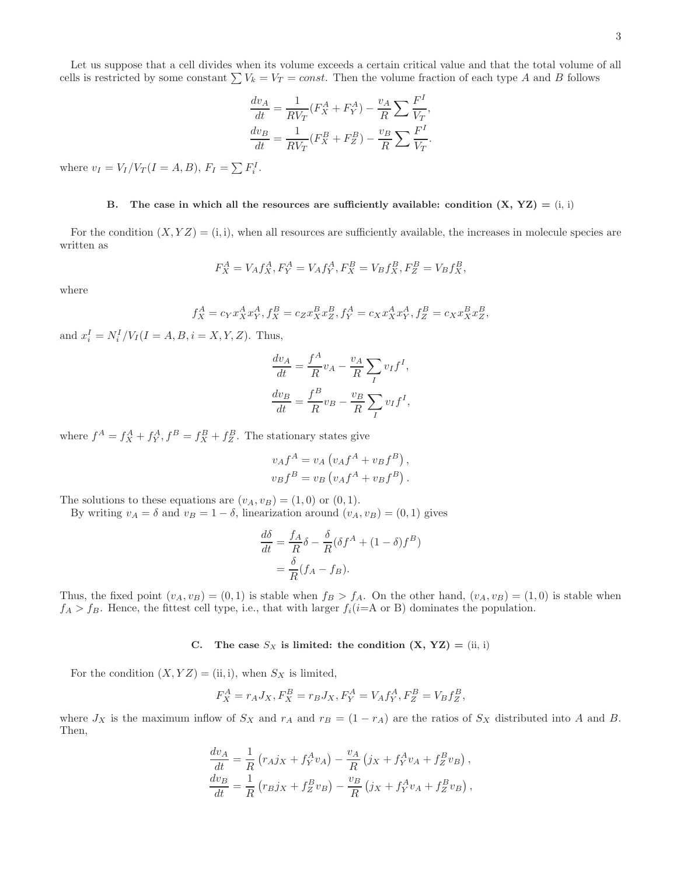Let us suppose that a cell divides when its volume exceeds a certain critical value and that the total volume of all cells is restricted by some constant  $\sum V_k = V_T = const.$  Then the volume fraction of each type A and B follows

$$
\frac{dv_A}{dt} = \frac{1}{RV_T}(F_X^A + F_Y^A) - \frac{v_A}{R} \sum \frac{F^I}{V_T},
$$

$$
\frac{dv_B}{dt} = \frac{1}{RV_T}(F_X^B + F_Z^B) - \frac{v_B}{R} \sum \frac{F^I}{V_T}.
$$

where  $v_I = V_I/V_T(I = A, B), F_I = \sum F_i^I$ .

## B. The case in which all the resources are sufficiently available: condition  $(X, YZ) = (i, i)$

For the condition  $(X, YZ) = (i, i)$ , when all resources are sufficiently available, the increases in molecule species are written as

$$
F_X^A = V_A f_X^A, F_Y^A = V_A f_Y^A, F_X^B = V_B f_X^B, F_Z^B = V_B f_X^B,
$$

where

$$
f_X^A = c_Y x_X^A x_Y^A, f_X^B = c_Z x_X^B x_Z^B, f_Y^A = c_X x_X^A x_Y^A, f_Z^B = c_X x_X^B x_Z^B,
$$

and  $x_i^I = N_i^I / V_I (I = A, B, i = X, Y, Z)$ . Thus,

$$
\frac{dv_A}{dt} = \frac{f^A}{R}v_A - \frac{v_A}{R} \sum_I v_I f^I,
$$

$$
\frac{dv_B}{dt} = \frac{f^B}{R}v_B - \frac{v_B}{R} \sum_I v_I f^I,
$$

where  $f^A = f_X^A + f_Y^A$ ,  $f^B = f_X^B + f_Z^B$ . The stationary states give

$$
v_A f^A = v_A \left( v_A f^A + v_B f^B \right),
$$
  

$$
v_B f^B = v_B \left( v_A f^A + v_B f^B \right).
$$

The solutions to these equations are  $(v_A, v_B) = (1, 0)$  or  $(0, 1)$ .

By writing  $v_A = \delta$  and  $v_B = 1 - \delta$ , linearization around  $(v_A, v_B) = (0, 1)$  gives

$$
\frac{d\delta}{dt} = \frac{f_A}{R}\delta - \frac{\delta}{R}(\delta f^A + (1 - \delta)f^B)
$$

$$
= \frac{\delta}{R}(f_A - f_B).
$$

Thus, the fixed point  $(v_A, v_B) = (0, 1)$  is stable when  $f_B > f_A$ . On the other hand,  $(v_A, v_B) = (1, 0)$  is stable when  $f_A > f_B$ . Hence, the fittest cell type, i.e., that with larger  $f_i(i= A \text{ or } B)$  dominates the population.

C. The case  $S_X$  is limited: the condition  $(X, YZ) = (ii, i)$ 

For the condition  $(X, YZ) = (ii, i)$ , when  $S_X$  is limited,

$$
F_X^A = r_A J_X, F_X^B = r_B J_X, F_Y^A = V_A f_Y^A, F_Z^B = V_B f_Z^B,
$$

where  $J_X$  is the maximum inflow of  $S_X$  and  $r_A$  and  $r_B = (1 - r_A)$  are the ratios of  $S_X$  distributed into A and B. Then,

$$
\frac{dv_A}{dt} = \frac{1}{R} (r_A j_X + f_Y^A v_A) - \frac{v_A}{R} (j_X + f_Y^A v_A + f_Z^B v_B),
$$
  
\n
$$
\frac{dv_B}{dt} = \frac{1}{R} (r_B j_X + f_Z^B v_B) - \frac{v_B}{R} (j_X + f_Y^A v_A + f_Z^B v_B),
$$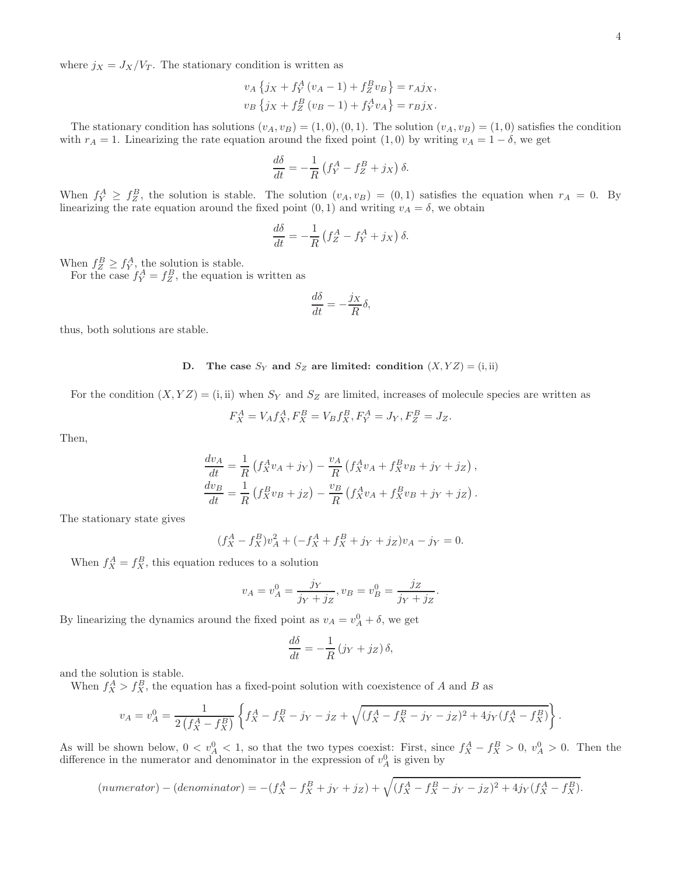where  $j_X = J_X/V_T$ . The stationary condition is written as

$$
v_A \{ j_X + f_Y^A (v_A - 1) + f_Z^B v_B \} = r_A j_X,
$$
  

$$
v_B \{ j_X + f_Z^B (v_B - 1) + f_Y^A v_A \} = r_B j_X.
$$

The stationary condition has solutions  $(v_A, v_B) = (1, 0), (0, 1)$ . The solution  $(v_A, v_B) = (1, 0)$  satisfies the condition with  $r_A = 1$ . Linearizing the rate equation around the fixed point  $(1, 0)$  by writing  $v_A = 1 - \delta$ , we get

$$
\frac{d\delta}{dt} = -\frac{1}{R} \left( f_Y^A - f_Z^B + j_X \right) \delta.
$$

When  $f_Y^A \geq f_Z^B$ , the solution is stable. The solution  $(v_A, v_B) = (0, 1)$  satisfies the equation when  $r_A = 0$ . By linearizing the rate equation around the fixed point  $(0, 1)$  and writing  $v_A = \delta$ , we obtain

$$
\frac{d\delta}{dt} = -\frac{1}{R} \left( f_Z^A - f_Y^A + j_X \right) \delta.
$$

When  $f_Z^B \geq f_Y^A$ , the solution is stable.

For the case  $f_Y^A = f_Z^B$ , the equation is written as

$$
\frac{d\delta}{dt} = -\frac{j_X}{R}\delta,
$$

thus, both solutions are stable.

## D. The case  $S_Y$  and  $S_Z$  are limited: condition  $(X, YZ) = (i, ii)$

For the condition  $(X, YZ) = (i, ii)$  when  $S_Y$  and  $S_Z$  are limited, increases of molecule species are written as

$$
F_X^A = V_A f_X^A, F_X^B = V_B f_X^B, F_Y^A = J_Y, F_Z^B = J_Z.
$$

Then,

$$
\frac{dv_A}{dt} = \frac{1}{R} \left( f_X^A v_A + j_Y \right) - \frac{v_A}{R} \left( f_X^A v_A + f_X^B v_B + j_Y + j_Z \right),
$$
  
\n
$$
\frac{dv_B}{dt} = \frac{1}{R} \left( f_X^B v_B + j_Z \right) - \frac{v_B}{R} \left( f_X^A v_A + f_X^B v_B + j_Y + j_Z \right).
$$

The stationary state gives

$$
(f_X^A - f_X^B)v_A^2 + (-f_X^A + f_X^B + j_Y + j_Z)v_A - j_Y = 0.
$$

When  $f_X^A = f_X^B$ , this equation reduces to a solution

$$
v_A = v_A^0 = \frac{j_Y}{j_Y + j_Z}, v_B = v_B^0 = \frac{j_Z}{j_Y + j_Z}.
$$

By linearizing the dynamics around the fixed point as  $v_A = v_A^0 + \delta$ , we get

$$
\frac{d\delta}{dt} = -\frac{1}{R} \left( j_Y + j_Z \right) \delta,
$$

and the solution is stable.

When  $f_X^A > f_X^B$ , the equation has a fixed-point solution with coexistence of A and B as

$$
v_A = v_A^0 = \frac{1}{2\left(f_X^A - f_X^B\right)} \left\{ f_X^A - f_X^B - j_Y - j_Z + \sqrt{(f_X^A - f_X^B - j_Y - j_Z)^2 + 4j_Y(f_X^A - f_X^B)} \right\}.
$$

As will be shown below,  $0 < v_A^0 < 1$ , so that the two types coexist: First, since  $f_X^A - f_X^B > 0$ ,  $v_A^0 > 0$ . Then the difference in the numerator and denominator in the expression of  $v_A^0$  is given by

$$
(numerator) - (denominator) = -(f_X^A - f_X^B + j_Y + j_Z) + \sqrt{(f_X^A - f_X^B - j_Y - j_Z)^2 + 4j_Y(f_X^A - f_X^B)}.
$$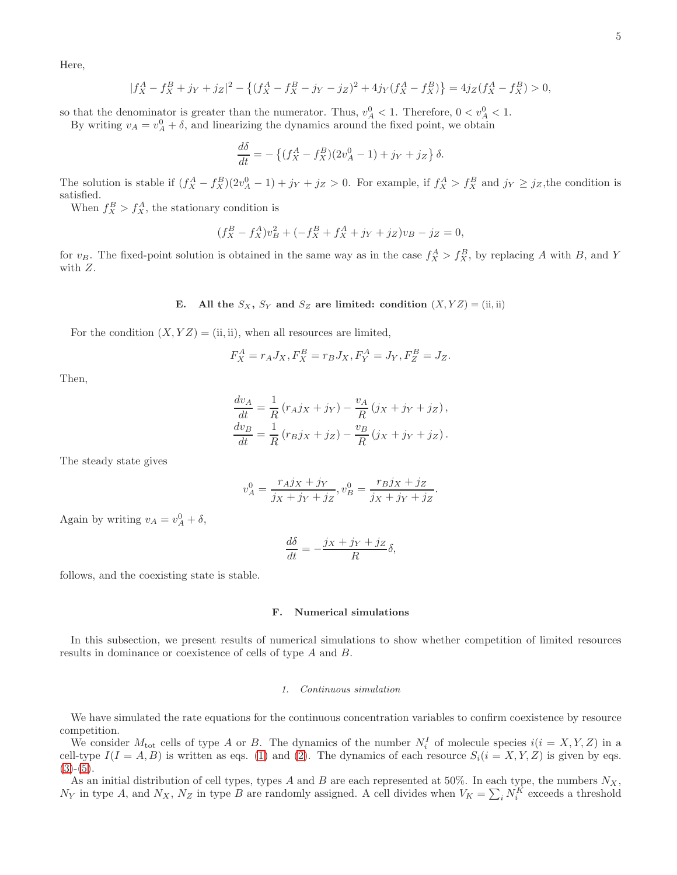Here,

$$
|f_X^A - f_X^B + j_Y + j_Z|^2 - \left\{ (f_X^A - f_X^B - j_Y - j_Z)^2 + 4j_Y(f_X^A - f_X^B) \right\} = 4j_Z(f_X^A - f_X^B) > 0,
$$

so that the denominator is greater than the numerator. Thus,  $v_A^0 < 1$ . Therefore,  $0 < v_A^0 < 1$ .

By writing  $v_A = v_A^0 + \delta$ , and linearizing the dynamics around the fixed point, we obtain

$$
\frac{d\delta}{dt} = -\left\{ (f_X^A - f_X^B)(2v_A^0 - 1) + j_Y + j_Z \right\} \delta.
$$

The solution is stable if  $(f_X^A - f_X^B)(2v_A^0 - 1) + j_Y + j_Z > 0$ . For example, if  $f_X^A > f_X^B$  and  $j_Y \ge j_Z$ , the condition is satisfied.

When  $f_X^B > f_X^A$ , the stationary condition is

$$
(f_X^B - f_X^A)v_B^2 + (-f_X^B + f_X^A + j_Y + j_Z)v_B - j_Z = 0,
$$

for  $v_B$ . The fixed-point solution is obtained in the same way as in the case  $f_X^A > f_X^B$ , by replacing A with B, and Y with Z.

E. All the  $S_X$ ,  $S_Y$  and  $S_Z$  are limited: condition  $(X, YZ) = (ii, ii)$ 

For the condition  $(X, YZ) = (ii, ii)$ , when all resources are limited,

$$
F_X^A = r_A J_X, F_X^B = r_B J_X, F_Y^A = J_Y, F_Z^B = J_Z.
$$

Then,

$$
\frac{dv_A}{dt} = \frac{1}{R} (r_A j_X + j_Y) - \frac{v_A}{R} (j_X + j_Y + j_Z),
$$
  
\n
$$
\frac{dv_B}{dt} = \frac{1}{R} (r_B j_X + j_Z) - \frac{v_B}{R} (j_X + j_Y + j_Z).
$$

The steady state gives

$$
v_A^0 = \frac{r_A j_X + j_Y}{j_X + j_Y + j_Z}, v_B^0 = \frac{r_B j_X + j_Z}{j_X + j_Y + j_Z}
$$

.

Again by writing  $v_A = v_A^0 + \delta$ ,

$$
\frac{d\delta}{dt} = -\frac{j_X + j_Y + j_Z}{R}\delta,
$$

follows, and the coexisting state is stable.

## F. Numerical simulations

In this subsection, we present results of numerical simulations to show whether competition of limited resources results in dominance or coexistence of cells of type A and B.

#### 1. Continuous simulation

We have simulated the rate equations for the continuous concentration variables to confirm coexistence by resource competition.

We consider  $M_{\text{tot}}$  cells of type A or B. The dynamics of the number  $N_i^I$  of molecule species  $i(i = X, Y, Z)$  in a cell-type  $I(I = A, B)$  is written as eqs. [\(1\)](#page-6-0) and [\(2\)](#page-6-1). The dynamics of each resource  $S_i(i = X, Y, Z)$  is given by eqs.  $(3)-(5).$  $(3)-(5).$  $(3)-(5).$  $(3)-(5).$ 

As an initial distribution of cell types, types A and B are each represented at 50%. In each type, the numbers  $N_X$ ,  $N_Y$  in type A, and  $N_X$ ,  $N_Z$  in type B are randomly assigned. A cell divides when  $V_K = \sum_i N_i^K$  exceeds a threshold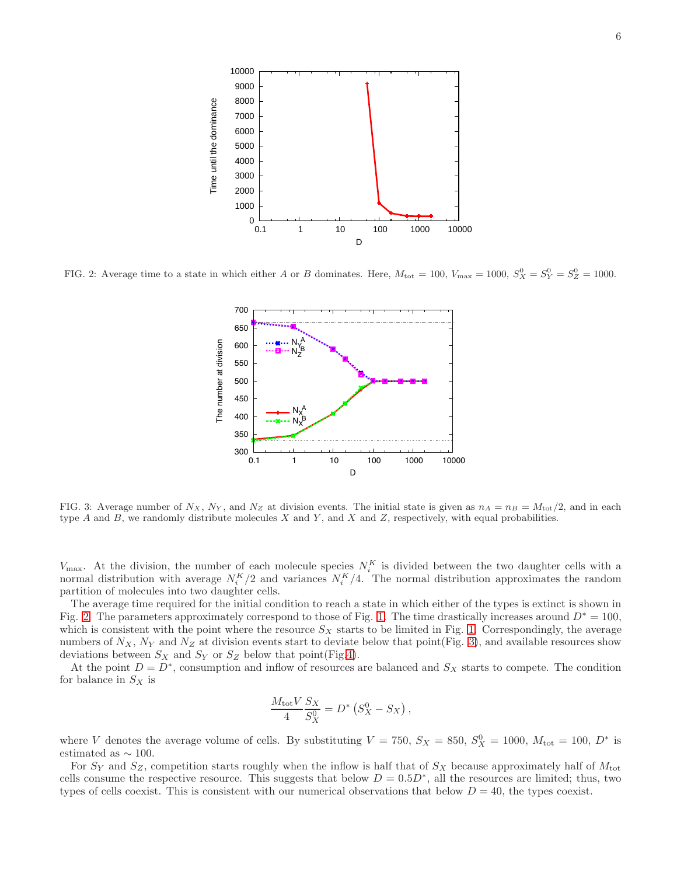

<span id="page-11-0"></span>FIG. 2: Average time to a state in which either A or B dominates. Here,  $M_{\text{tot}} = 100$ ,  $V_{\text{max}} = 1000$ ,  $S_X^0 = S_Y^0 = S_Z^0 = 1000$ .



<span id="page-11-1"></span>FIG. 3: Average number of  $N_X$ ,  $N_Y$ , and  $N_Z$  at division events. The initial state is given as  $n_A = n_B = M_{\text{tot}}/2$ , and in each type  $A$  and  $B$ , we randomly distribute molecules  $X$  and  $Y$ , and  $X$  and  $Z$ , respectively, with equal probabilities.

 $V_{\text{max}}$ . At the division, the number of each molecule species  $N_i^K$  is divided between the two daughter cells with a normal distribution with average  $N_i^K/2$  and variances  $N_i^K/4$ . The normal distribution approximates the random partition of molecules into two daughter cells.

The average time required for the initial condition to reach a state in which either of the types is extinct is shown in Fig. [2.](#page-11-0) The parameters approximately correspond to those of Fig. [1.](#page-7-0) The time drastically increases around  $D^* = 100$ , which is consistent with the point where the resource  $S_X$  starts to be limited in Fig. [1.](#page-7-0) Correspondingly, the average numbers of  $N_X$ ,  $N_Y$  and  $N_Z$  at division events start to deviate below that point(Fig. [3\)](#page-11-1), and available resources show deviations between  $S_X$  and  $S_Y$  or  $S_Z$  below that point(Fig[.4\)](#page-12-0).

At the point  $D = D^*$ , consumption and inflow of resources are balanced and  $S_X$  starts to compete. The condition for balance in  $S_X$  is

$$
\frac{M_{\text{tot}}V}{4} \frac{S_X}{S_X^0} = D^* (S_X^0 - S_X),
$$

where V denotes the average volume of cells. By substituting  $V = 750$ ,  $S_X = 850$ ,  $S_X^0 = 1000$ ,  $M_{\text{tot}} = 100$ ,  $D^*$  is estimated as  $\sim$  100.

For  $S_Y$  and  $S_Z$ , competition starts roughly when the inflow is half that of  $S_X$  because approximately half of  $M_{\text{tot}}$ cells consume the respective resource. This suggests that below  $D = 0.5D^*$ , all the resources are limited; thus, two types of cells coexist. This is consistent with our numerical observations that below  $D = 40$ , the types coexist.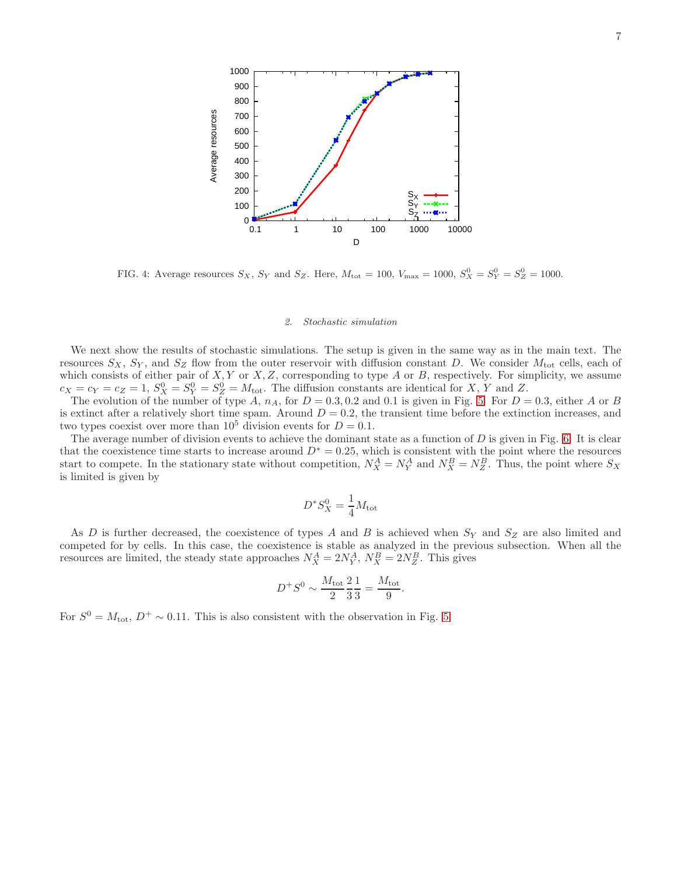

<span id="page-12-0"></span>FIG. 4: Average resources  $S_X$ ,  $S_Y$  and  $S_Z$ . Here,  $M_{\text{tot}} = 100$ ,  $V_{\text{max}} = 1000$ ,  $S_X^0 = S_Y^0 = S_Z^0 = 1000$ .

#### 2. Stochastic simulation

We next show the results of stochastic simulations. The setup is given in the same way as in the main text. The resources  $S_X$ ,  $S_Y$ , and  $S_Z$  flow from the outer reservoir with diffusion constant D. We consider  $M_{\text{tot}}$  cells, each of which consists of either pair of  $X, Y$  or  $X, Z$ , corresponding to type  $A$  or  $B$ , respectively. For simplicity, we assume  $c_X = c_Y = c_Z = 1$ ,  $S_X^0 = S_Y^0 = S_Z^0 = M_{\text{tot}}$ . The diffusion constants are identical for X, Y and Z.

The evolution of the number of type A,  $n_A$ , for  $D = 0.3, 0.2$  and 0.1 is given in Fig. [5.](#page-13-0) For  $D = 0.3$ , either A or B is extinct after a relatively short time spam. Around  $D = 0.2$ , the transient time before the extinction increases, and two types coexist over more than  $10^5$  division events for  $D = 0.1$ .

The average number of division events to achieve the dominant state as a function of  $D$  is given in Fig. [6.](#page-13-1) It is clear that the coexistence time starts to increase around  $D^* = 0.25$ , which is consistent with the point where the resources start to compete. In the stationary state without competition,  $N_X^A = N_Y^A$  and  $N_X^B = N_Z^B$ . Thus, the point where  $S_X$ is limited is given by

$$
D^*S_X^0 = \frac{1}{4}M_{\text{tot}}
$$

As D is further decreased, the coexistence of types A and B is achieved when  $S_Y$  and  $S_Z$  are also limited and competed for by cells. In this case, the coexistence is stable as analyzed in the previous subsection. When all the resources are limited, the steady state approaches  $N_X^A = 2N_Y^A$ ,  $N_X^B = 2N_Z^B$ . This gives

$$
D^+S^0\sim \frac{M_{\rm tot}}{2}\frac{2}{3}\frac{1}{3}=\frac{M_{\rm tot}}{9}
$$

.

For  $S^0 = M_{\text{tot}}$ ,  $D^+ \sim 0.11$ . This is also consistent with the observation in Fig. [5.](#page-13-0)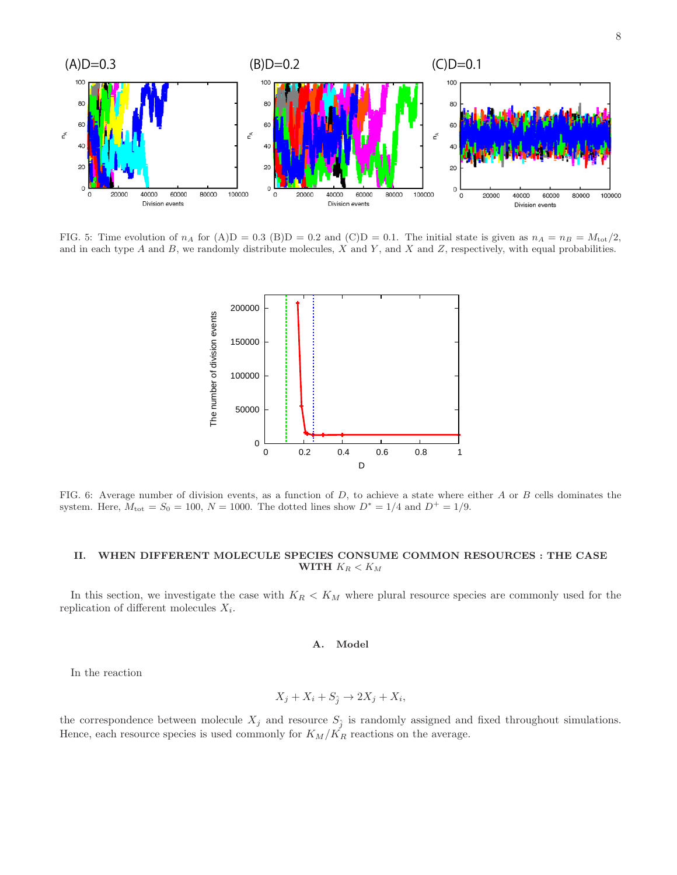

<span id="page-13-0"></span>FIG. 5: Time evolution of  $n_A$  for  $(A)D = 0.3$  (B) $D = 0.2$  and (C) $D = 0.1$ . The initial state is given as  $n_A = n_B = M_{tot}/2$ , and in each type  $A$  and  $B$ , we randomly distribute molecules,  $X$  and  $Y$ , and  $X$  and  $Z$ , respectively, with equal probabilities.



<span id="page-13-1"></span>FIG. 6: Average number of division events, as a function of  $D$ , to achieve a state where either  $A$  or  $B$  cells dominates the system. Here,  $M_{\text{tot}} = S_0 = 100$ ,  $N = 1000$ . The dotted lines show  $D^* = 1/4$  and  $D^+ = 1/9$ .

## II. WHEN DIFFERENT MOLECULE SPECIES CONSUME COMMON RESOURCES : THE CASE WITH  $K_R < K_M$

In this section, we investigate the case with  $K_R < K_M$  where plural resource species are commonly used for the replication of different molecules  $X_i$ .

## A. Model

In the reaction

$$
X_j + X_i + S_{\hat{j}} \to 2X_j + X_i,
$$

the correspondence between molecule  $X_j$  and resource  $S_j$  is randomly assigned and fixed throughout simulations. Hence, each resource species is used commonly for  $K_M/K_R$  reactions on the average.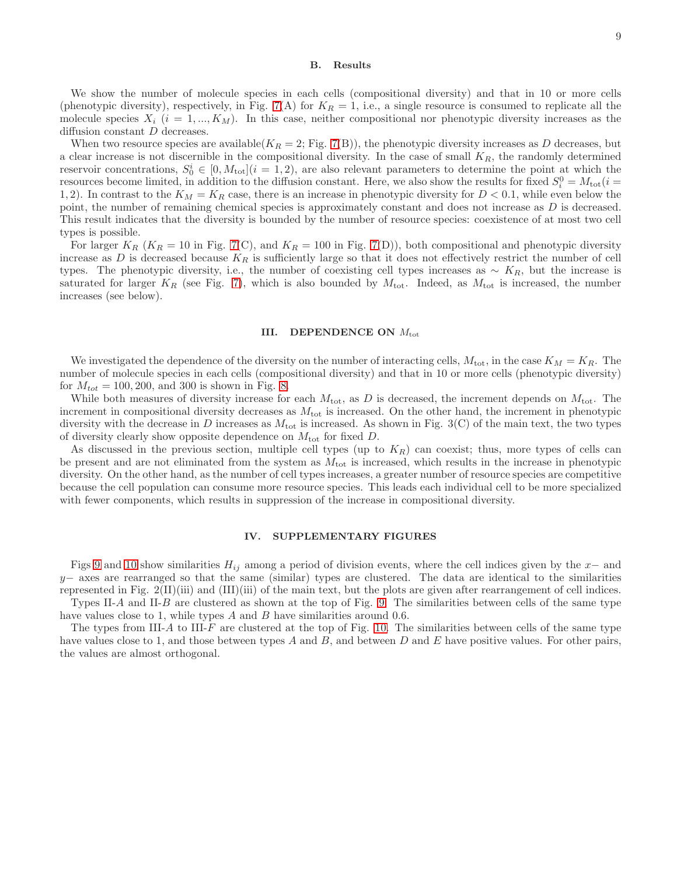#### B. Results

We show the number of molecule species in each cells (compositional diversity) and that in 10 or more cells (phenotypic diversity), respectively, in Fig. [7\(](#page-15-0)A) for  $K_R = 1$ , i.e., a single resource is consumed to replicate all the molecule species  $X_i$   $(i = 1, ..., K_M)$ . In this case, neither compositional nor phenotypic diversity increases as the diffusion constant D decreases.

When two resource species are available( $K_R = 2$ ; Fig. [7\(](#page-15-0)B)), the phenotypic diversity increases as D decreases, but a clear increase is not discernible in the compositional diversity. In the case of small  $K_R$ , the randomly determined reservoir concentrations,  $S_0^i \in [0, M_{\text{tot}}](i = 1, 2)$ , are also relevant parameters to determine the point at which the resources become limited, in addition to the diffusion constant. Here, we also show the results for fixed  $S_i^0 = M_{\text{tot}}(i =$ 1, 2). In contrast to the  $K_M = K_R$  case, there is an increase in phenotypic diversity for  $D < 0.1$ , while even below the point, the number of remaining chemical species is approximately constant and does not increase as D is decreased. This result indicates that the diversity is bounded by the number of resource species: coexistence of at most two cell types is possible.

For larger  $K_R$  ( $K_R = 10$  in Fig. [7\(](#page-15-0)C), and  $K_R = 100$  in Fig. 7(D)), both compositional and phenotypic diversity increase as D is decreased because  $K_R$  is sufficiently large so that it does not effectively restrict the number of cell types. The phenotypic diversity, i.e., the number of coexisting cell types increases as  $\sim K_R$ , but the increase is saturated for larger  $K_R$  (see Fig. [7\)](#page-15-0), which is also bounded by  $M_{\text{tot}}$ . Indeed, as  $M_{\text{tot}}$  is increased, the number increases (see below).

#### III. DEPENDENCE ON  $M_{\text{tot}}$

We investigated the dependence of the diversity on the number of interacting cells,  $M_{\text{tot}}$ , in the case  $K_M = K_R$ . The number of molecule species in each cells (compositional diversity) and that in 10 or more cells (phenotypic diversity) for  $M_{tot} = 100, 200,$  and 300 is shown in Fig. [8.](#page-16-0)

While both measures of diversity increase for each  $M_{\text{tot}}$ , as D is decreased, the increment depends on  $M_{\text{tot}}$ . The increment in compositional diversity decreases as  $M_{\text{tot}}$  is increased. On the other hand, the increment in phenotypic diversity with the decrease in D increases as  $M_{\text{tot}}$  is increased. As shown in Fig. 3(C) of the main text, the two types of diversity clearly show opposite dependence on  $M_{\text{tot}}$  for fixed D.

As discussed in the previous section, multiple cell types (up to  $K_R$ ) can coexist; thus, more types of cells can be present and are not eliminated from the system as  $M_{\text{tot}}$  is increased, which results in the increase in phenotypic diversity. On the other hand, as the number of cell types increases, a greater number of resource species are competitive because the cell population can consume more resource species. This leads each individual cell to be more specialized with fewer components, which results in suppression of the increase in compositional diversity.

### IV. SUPPLEMENTARY FIGURES

Figs [9](#page-16-1) and [10](#page-17-0) show similarities  $H_{ij}$  among a period of division events, where the cell indices given by the  $x-$  and  $y-$  axes are rearranged so that the same (similar) types are clustered. The data are identical to the similarities represented in Fig. 2(II)(iii) and (III)(iii) of the main text, but the plots are given after rearrangement of cell indices. Types II-A and II-B are clustered as shown at the top of Fig. [9.](#page-16-1) The similarities between cells of the same type

have values close to 1, while types  $A$  and  $B$  have similarities around 0.6.

The types from III-A to III-F are clustered at the top of Fig. [10.](#page-17-0) The similarities between cells of the same type have values close to 1, and those between types A and B, and between D and E have positive values. For other pairs, the values are almost orthogonal.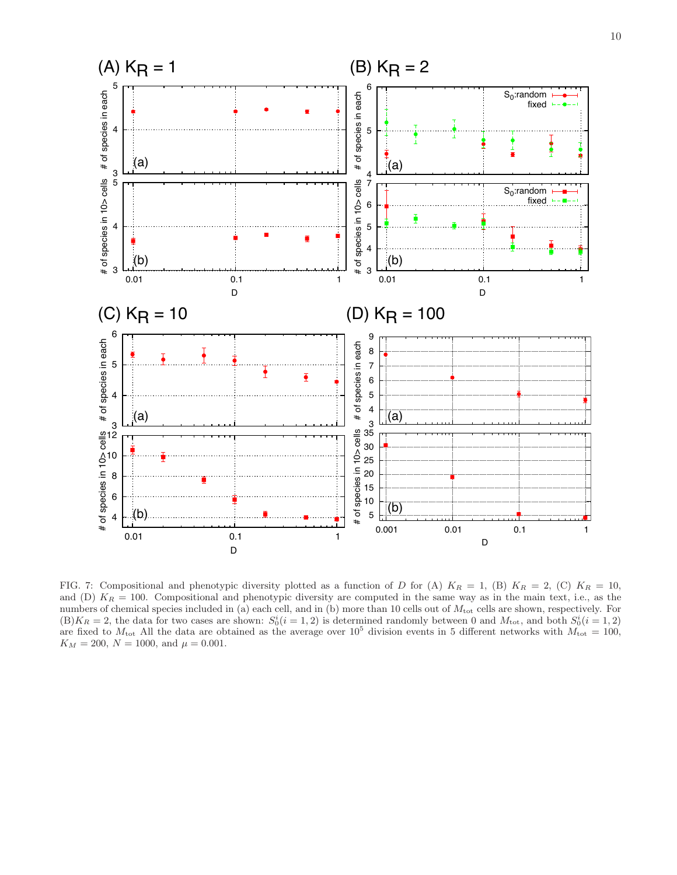

<span id="page-15-0"></span>FIG. 7: Compositional and phenotypic diversity plotted as a function of D for (A)  $K_R = 1$ , (B)  $K_R = 2$ , (C)  $K_R = 10$ , and (D)  $K_R = 100$ . Compositional and phenotypic diversity are computed in the same way as in the main text, i.e., as the numbers of chemical species included in (a) each cell, and in (b) more than 10 cells out of  $M_{\text{tot}}$  cells are shown, respectively. For  $(B)K_R = 2$ , the data for two cases are shown:  $S_0^i(i = 1, 2)$  is determined randomly between 0 and  $M_{\text{tot}}$ , and both  $S_0^i(i = 1, 2)$ are fixed to  $M_{\text{tot}}$  All the data are obtained as the average over 10<sup>5</sup> division events in 5 different networks with  $M_{\text{tot}} = 100$ ,  $K_M = 200, N = 1000, \text{ and } \mu = 0.001.$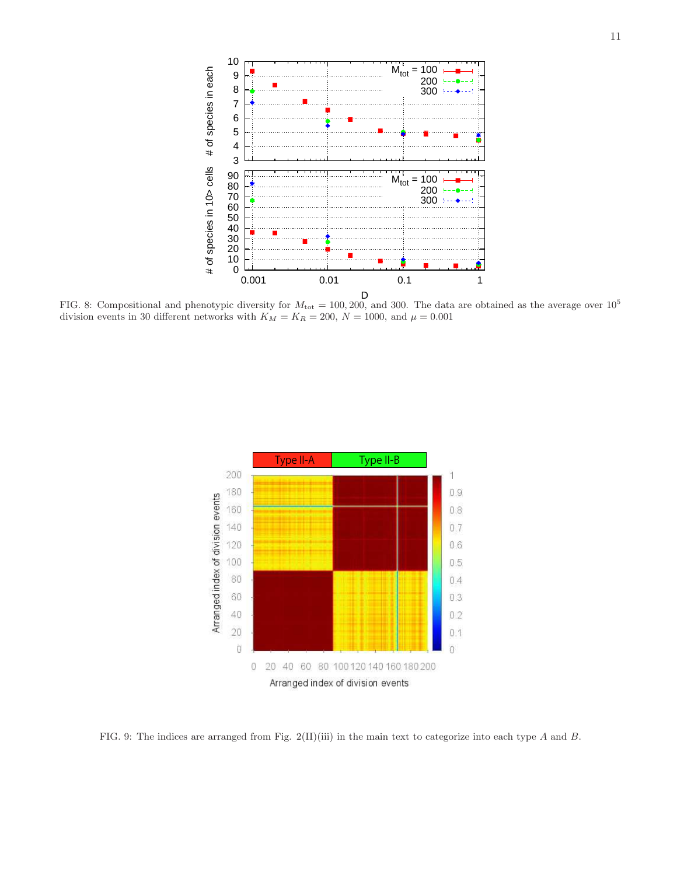

<span id="page-16-0"></span>FIG. 8: Compositional and phenotypic diversity for  $M_{\text{tot}} = 100, 200$ , and 300. The data are obtained as the average over  $10^5$ division events in 30 different networks with  $K_M = K_R = 200, N = 1000,$  and  $\mu = 0.001$ 



<span id="page-16-1"></span>FIG. 9: The indices are arranged from Fig. 2(II)(iii) in the main text to categorize into each type A and B.